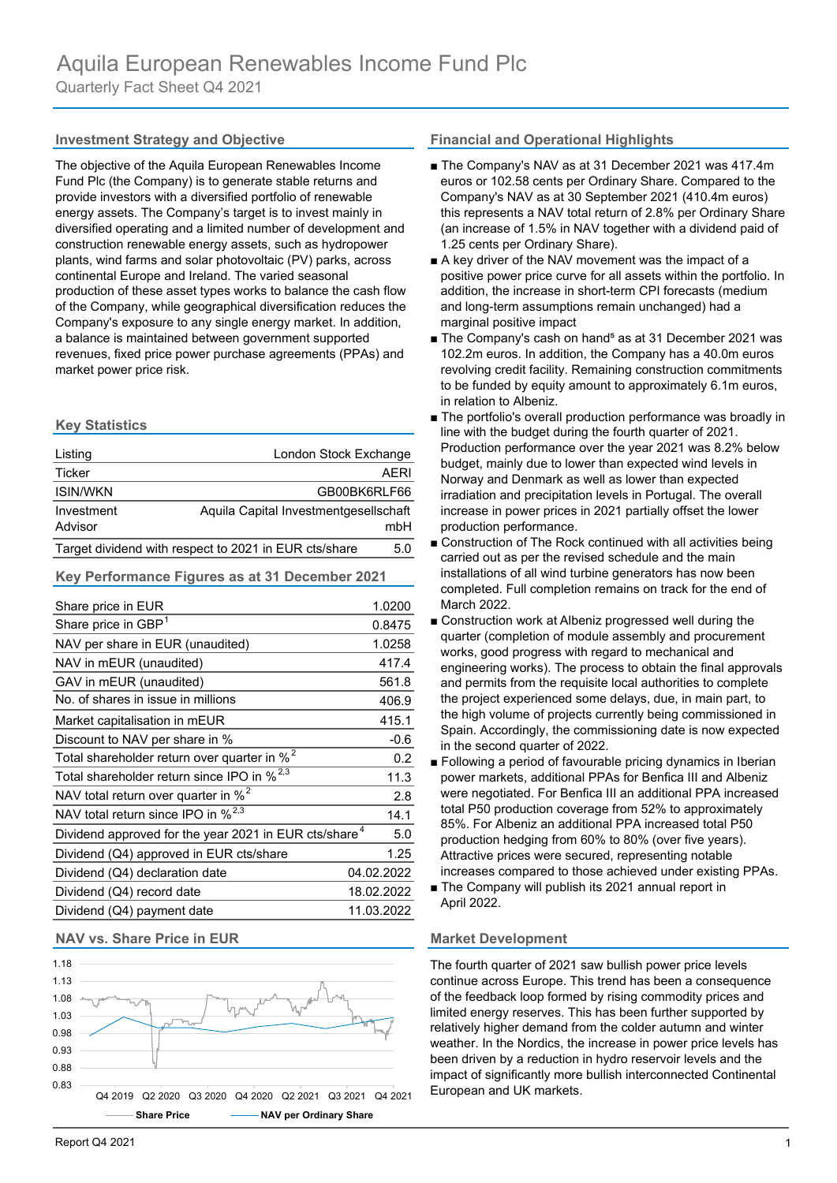The objective of the Aquila European Renewables Income Fund Plc (the Company) is to generate stable returns and provide investors with a diversified portfolio of renewable energy assets. The Company's target is to invest mainly in diversified operating and a limited number of development and construction renewable energy assets, such as hydropower plants, wind farms and solar photovoltaic (PV) parks, across continental Europe and Ireland. The varied seasonal production of these asset types works to balance the cash flow of the Company, while geographical diversification reduces the Company's exposure to any single energy market. In addition, a balance is maintained between government supported revenues, fixed price power purchase agreements (PPAs) and market power price risk.

# **Key Statistics**

| Listing                                                      | London Stock Exchange                 |      |
|--------------------------------------------------------------|---------------------------------------|------|
| Ticker                                                       |                                       | AFRI |
| <b>ISIN/WKN</b>                                              | GB00BK6RLF66                          |      |
| Investment<br>Advisor                                        | Aquila Capital Investmentgesellschaft | mbH  |
| Target dividend with respect to 2021 in EUR cts/share<br>5.0 |                                       |      |

# **Key Performance Figures as at 31 December 2021**

| Share price in EUR                                                | 1.0200     |
|-------------------------------------------------------------------|------------|
| Share price in GBP <sup>1</sup>                                   | 0.8475     |
| NAV per share in EUR (unaudited)                                  | 1.0258     |
| NAV in mEUR (unaudited)                                           | 417.4      |
| GAV in mEUR (unaudited)                                           | 561.8      |
| No. of shares in issue in millions                                | 406.9      |
| Market capitalisation in mEUR                                     | 415.1      |
| Discount to NAV per share in %                                    | $-0.6$     |
| Total shareholder return over quarter in % <sup>2</sup>           | 0.2        |
| Total shareholder return since IPO in % <sup>2,3</sup>            | 11.3       |
| NAV total return over quarter in % <sup>2</sup>                   | 2.8        |
| NAV total return since IPO in % <sup>2,3</sup>                    | 14.1       |
| Dividend approved for the year 2021 in EUR cts/share <sup>4</sup> | 5.0        |
| Dividend (Q4) approved in EUR cts/share                           | 1.25       |
| Dividend (Q4) declaration date                                    | 04.02.2022 |
| Dividend (Q4) record date                                         | 18.02.2022 |
| Dividend (Q4) payment date                                        | 11.03.2022 |

# **NAV vs. Share Price in EUR Market Development**



# **Investment Strategy and Objective <b>Financial and Operational Highlights**

- The Company's NAV as at 31 December 2021 was 417.4m euros or 102.58 cents per Ordinary Share. Compared to the Company's NAV as at 30 September 2021 (410.4m euros) this represents a NAV total return of 2.8% per Ordinary Share (an increase of 1.5% in NAV together with a dividend paid of 1.25 cents per Ordinary Share).
- A key driver of the NAV movement was the impact of a positive power price curve for all assets within the portfolio. In addition, the increase in short-term CPI forecasts (medium and long-term assumptions remain unchanged) had a marginal positive impact
- The Company's cash on hand<sup>5</sup> as at 31 December 2021 was 102.2m euros. In addition, the Company has a 40.0m euros revolving credit facility. Remaining construction commitments to be funded by equity amount to approximately 6.1m euros, in relation to Albeniz.
- The portfolio's overall production performance was broadly in line with the budget during the fourth quarter of 2021. Production performance over the year 2021 was 8.2% below budget, mainly due to lower than expected wind levels in Norway and Denmark as well as lower than expected irradiation and precipitation levels in Portugal. The overall increase in power prices in 2021 partially offset the lower production performance.
- Construction of The Rock continued with all activities being carried out as per the revised schedule and the main installations of all wind turbine generators has now been completed. Full completion remains on track for the end of March 2022.
- Construction work at Albeniz progressed well during the quarter (completion of module assembly and procurement works, good progress with regard to mechanical and engineering works). The process to obtain the final approvals and permits from the requisite local authorities to complete the project experienced some delays, due, in main part, to the high volume of projects currently being commissioned in Spain. Accordingly, the commissioning date is now expected in the second quarter of 2022.
- Following a period of favourable pricing dynamics in Iberian power markets, additional PPAs for Benfica III and Albeniz were negotiated. For Benfica III an additional PPA increased total P50 production coverage from 52% to approximately 85%. For Albeniz an additional PPA increased total P50 production hedging from 60% to 80% (over five years). Attractive prices were secured, representing notable increases compared to those achieved under existing PPAs.
- The Company will publish its 2021 annual report in April 2022.

The fourth quarter of 2021 saw bullish power price levels continue across Europe. This trend has been a consequence of the feedback loop formed by rising commodity prices and limited energy reserves. This has been further supported by relatively higher demand from the colder autumn and winter weather. In the Nordics, the increase in power price levels has been driven by a reduction in hydro reservoir levels and the impact of significantly more bullish interconnected Continental European and UK markets.